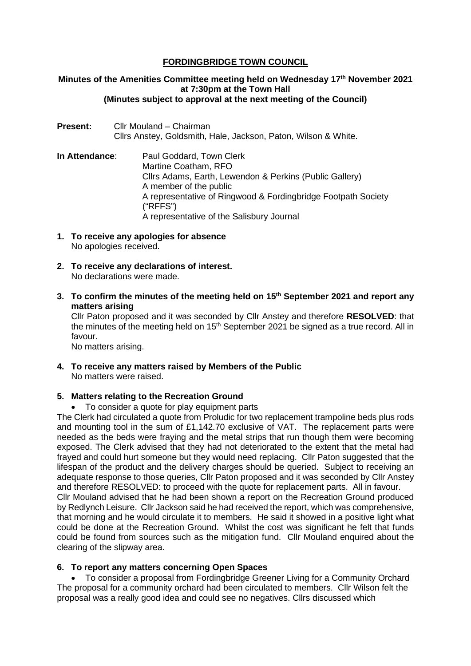# **FORDINGBRIDGE TOWN COUNCIL**

# **Minutes of the Amenities Committee meeting held on Wednesday 17th November 2021 at 7:30pm at the Town Hall (Minutes subject to approval at the next meeting of the Council)**

- **Present:** Cllr Mouland Chairman Cllrs Anstey, Goldsmith, Hale, Jackson, Paton, Wilson & White.
- **In Attendance**: Paul Goddard, Town Clerk Martine Coatham, RFO Cllrs Adams, Earth, Lewendon & Perkins (Public Gallery) A member of the public A representative of Ringwood & Fordingbridge Footpath Society ("RFFS") A representative of the Salisbury Journal
- **1. To receive any apologies for absence** No apologies received.
- **2. To receive any declarations of interest.** No declarations were made.
- **3. To confirm the minutes of the meeting held on 15th September 2021 and report any matters arising**

Cllr Paton proposed and it was seconded by Cllr Anstey and therefore **RESOLVED**: that the minutes of the meeting held on  $15<sup>th</sup>$  September 2021 be signed as a true record. All in favour.

No matters arising.

**4. To receive any matters raised by Members of the Public** No matters were raised.

### **5. Matters relating to the Recreation Ground**

• To consider a quote for play equipment parts

The Clerk had circulated a quote from Proludic for two replacement trampoline beds plus rods and mounting tool in the sum of £1,142.70 exclusive of VAT. The replacement parts were needed as the beds were fraying and the metal strips that run though them were becoming exposed. The Clerk advised that they had not deteriorated to the extent that the metal had frayed and could hurt someone but they would need replacing. Cllr Paton suggested that the lifespan of the product and the delivery charges should be queried. Subject to receiving an adequate response to those queries, Cllr Paton proposed and it was seconded by Cllr Anstey and therefore RESOLVED: to proceed with the quote for replacement parts. All in favour. Cllr Mouland advised that he had been shown a report on the Recreation Ground produced by Redlynch Leisure. Cllr Jackson said he had received the report, which was comprehensive, that morning and he would circulate it to members. He said it showed in a positive light what could be done at the Recreation Ground. Whilst the cost was significant he felt that funds could be found from sources such as the mitigation fund. Cllr Mouland enquired about the clearing of the slipway area.

### **6. To report any matters concerning Open Spaces**

• To consider a proposal from Fordingbridge Greener Living for a Community Orchard The proposal for a community orchard had been circulated to members. Cllr Wilson felt the proposal was a really good idea and could see no negatives. Cllrs discussed which